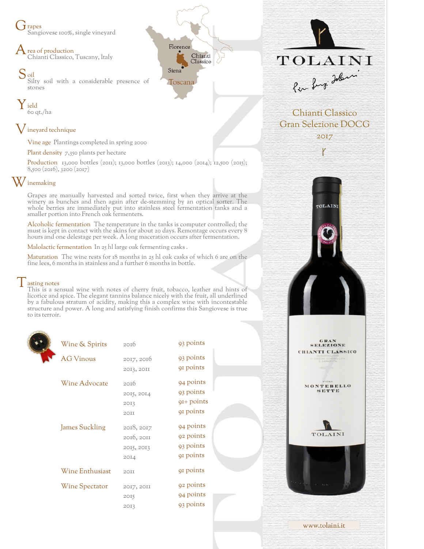J rapes Sangiovese 100%, single vineyard

 $\bigwedge$  rea of production Chianti Classico, Tuscany, Italy

S<sub>oil</sub> Silty soil with a considerable presence of stones

Y ield 60 qt./ha

## ${\mathsf V}$  ineyard technique

Vine age Plantings completed in spring 2000

Plant density 7,350 plants per hectare

Production 13,000 bottles (2011); 13,000 bottles (2013); 14,000 (2014); 12,500 (2015); 8,500 (2016), 3200 (2017)

Florence

Toscana

Siena

Chianti

Classico

## W inemaking

Grapes are manually harvested and sorted twice, first when they arrive at the winery as bunches and then again after de-stemming by an optical sorter. The whole berries are immediately put into stainless steel fermentation tanks and a smaller portion into French oak fermenters.

Alcoholic fermentation The temperature in the tanks is computer controlled; the must is kept in contact with the skins for about 20 days. Remontage occurs every 8 hours and one delestage per week. A long maceration occurs after fermentation.

Malolactic fermentation In 25 hl large oak fermenting casks .

Maturation The wine rests for 18 months in 25 hl oak casks of which 6 are on the fine lees, 6 months in stainless and a further 6 months in bottle.

## $\vert$  asting notes

This is a sensual wine with notes of cherry fruit, tobacco, leather and hints of licorice and spice. The elegant tannins balance nicely with the fruit, all underlined by a fabulous stratum of acidity, making this a complex wine with incontestable structure and power. A long and satisfying finish confirms this Sangiovese is true to its terroir.

| Wine & Spirits        | 2016             | 93 points             |
|-----------------------|------------------|-----------------------|
| <b>AG Vinous</b>      | 2017, 2016       | 93 points             |
|                       | 2013, 2011       | q <sub>1</sub> points |
| Wine Advocate         | 20I <sub>0</sub> | 94 points             |
|                       | 2015, 2014       | 93 points             |
|                       | 2013             | $QI+$ points          |
|                       | 2OII             | 91 points             |
| <b>James Suckling</b> | 2018, 2017       | 94 points             |
|                       | 2016, 2011       | 92 points             |
|                       | 2015, 2013       | 93 points             |
|                       | 2014             | 91 points             |
| Wine Enthusiast       | 2OTT             | 91 points             |
| Wine Spectator        | 2017, 2011       | 92 points             |
|                       | 2015             | 94 points             |
|                       | 2013             | 93 points             |
|                       |                  |                       |



Chianti Classico Gran Selezione DOCG 2017

TOLAIN)